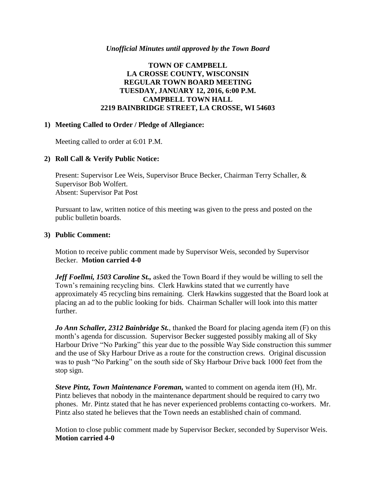### *Unofficial Minutes until approved by the Town Board*

# **TOWN OF CAMPBELL LA CROSSE COUNTY, WISCONSIN REGULAR TOWN BOARD MEETING TUESDAY, JANUARY 12, 2016, 6:00 P.M. CAMPBELL TOWN HALL 2219 BAINBRIDGE STREET, LA CROSSE, WI 54603**

### **1) Meeting Called to Order / Pledge of Allegiance:**

Meeting called to order at 6:01 P.M.

# **2) Roll Call & Verify Public Notice:**

Present: Supervisor Lee Weis, Supervisor Bruce Becker, Chairman Terry Schaller, & Supervisor Bob Wolfert. Absent: Supervisor Pat Post

Pursuant to law, written notice of this meeting was given to the press and posted on the public bulletin boards.

#### **3) Public Comment:**

Motion to receive public comment made by Supervisor Weis, seconded by Supervisor Becker. **Motion carried 4-0**

*Jeff Foellmi, 1503 Caroline St.,* asked the Town Board if they would be willing to sell the Town's remaining recycling bins. Clerk Hawkins stated that we currently have approximately 45 recycling bins remaining. Clerk Hawkins suggested that the Board look at placing an ad to the public looking for bids. Chairman Schaller will look into this matter further.

*Jo Ann Schaller, 2312 Bainbridge St.*, thanked the Board for placing agenda item (F) on this month's agenda for discussion. Supervisor Becker suggested possibly making all of Sky Harbour Drive "No Parking" this year due to the possible Way Side construction this summer and the use of Sky Harbour Drive as a route for the construction crews. Original discussion was to push "No Parking" on the south side of Sky Harbour Drive back 1000 feet from the stop sign.

*Steve Pintz, Town Maintenance Foreman,* wanted to comment on agenda item (H), Mr. Pintz believes that nobody in the maintenance department should be required to carry two phones. Mr. Pintz stated that he has never experienced problems contacting co-workers. Mr. Pintz also stated he believes that the Town needs an established chain of command.

Motion to close public comment made by Supervisor Becker, seconded by Supervisor Weis. **Motion carried 4-0**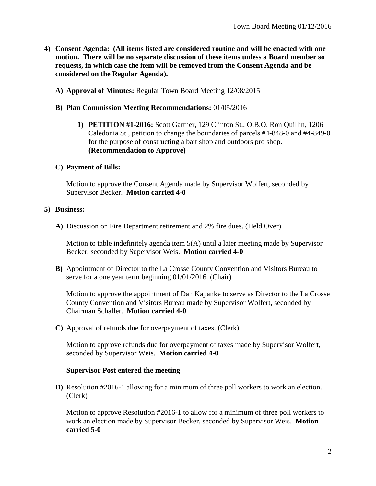- **4) Consent Agenda: (All items listed are considered routine and will be enacted with one motion. There will be no separate discussion of these items unless a Board member so requests, in which case the item will be removed from the Consent Agenda and be considered on the Regular Agenda).**
	- **A) Approval of Minutes:** Regular Town Board Meeting 12/08/2015

#### **B) Plan Commission Meeting Recommendations:** 01/05/2016

**1) PETITION #1-2016:** Scott Gartner, 129 Clinton St., O.B.O. Ron Quillin, 1206 Caledonia St., petition to change the boundaries of parcels #4-848-0 and #4-849-0 for the purpose of constructing a bait shop and outdoors pro shop. **(Recommendation to Approve)**

#### **C) Payment of Bills:**

Motion to approve the Consent Agenda made by Supervisor Wolfert, seconded by Supervisor Becker. **Motion carried 4-0**

#### **5) Business:**

**A)** Discussion on Fire Department retirement and 2% fire dues. (Held Over)

Motion to table indefinitely agenda item 5(A) until a later meeting made by Supervisor Becker, seconded by Supervisor Weis. **Motion carried 4-0**

**B)** Appointment of Director to the La Crosse County Convention and Visitors Bureau to serve for a one year term beginning 01/01/2016. (Chair)

Motion to approve the appointment of Dan Kapanke to serve as Director to the La Crosse County Convention and Visitors Bureau made by Supervisor Wolfert, seconded by Chairman Schaller. **Motion carried 4-0**

**C)** Approval of refunds due for overpayment of taxes. (Clerk)

Motion to approve refunds due for overpayment of taxes made by Supervisor Wolfert, seconded by Supervisor Weis. **Motion carried 4-0**

#### **Supervisor Post entered the meeting**

**D)** Resolution #2016-1 allowing for a minimum of three poll workers to work an election. (Clerk)

Motion to approve Resolution #2016-1 to allow for a minimum of three poll workers to work an election made by Supervisor Becker, seconded by Supervisor Weis. **Motion carried 5-0**